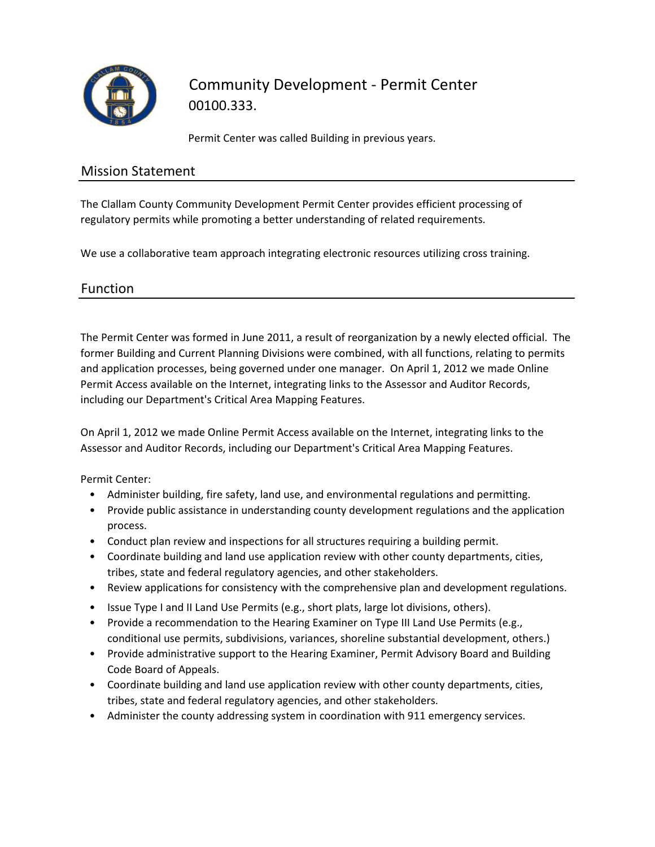

Community Development - Permit Center 00100.333.

Permit Center was called Building in previous years.

#### Mission Statement

The Clallam County Community Development Permit Center provides efficient processing of regulatory permits while promoting a better understanding of related requirements.

We use a collaborative team approach integrating electronic resources utilizing cross training.

### Function

The Permit Center was formed in June 2011, a result of reorganization by a newly elected official. The former Building and Current Planning Divisions were combined, with all functions, relating to permits and application processes, being governed under one manager. On April 1, 2012 we made Online Permit Access available on the Internet, integrating links to the Assessor and Auditor Records, including our Department's Critical Area Mapping Features.

On April 1, 2012 we made Online Permit Access available on the Internet, integrating links to the Assessor and Auditor Records, including our Department's Critical Area Mapping Features.

Permit Center:

- Administer building, fire safety, land use, and environmental regulations and permitting.
- Provide public assistance in understanding county development regulations and the application process.
- Conduct plan review and inspections for all structures requiring a building permit.
- Coordinate building and land use application review with other county departments, cities, tribes, state and federal regulatory agencies, and other stakeholders.
- Review applications for consistency with the comprehensive plan and development regulations.
- Issue Type I and II Land Use Permits (e.g., short plats, large lot divisions, others).
- Provide a recommendation to the Hearing Examiner on Type III Land Use Permits (e.g., conditional use permits, subdivisions, variances, shoreline substantial development, others.)
- Provide administrative support to the Hearing Examiner, Permit Advisory Board and Building Code Board of Appeals.
- Coordinate building and land use application review with other county departments, cities, tribes, state and federal regulatory agencies, and other stakeholders.
- Administer the county addressing system in coordination with 911 emergency services.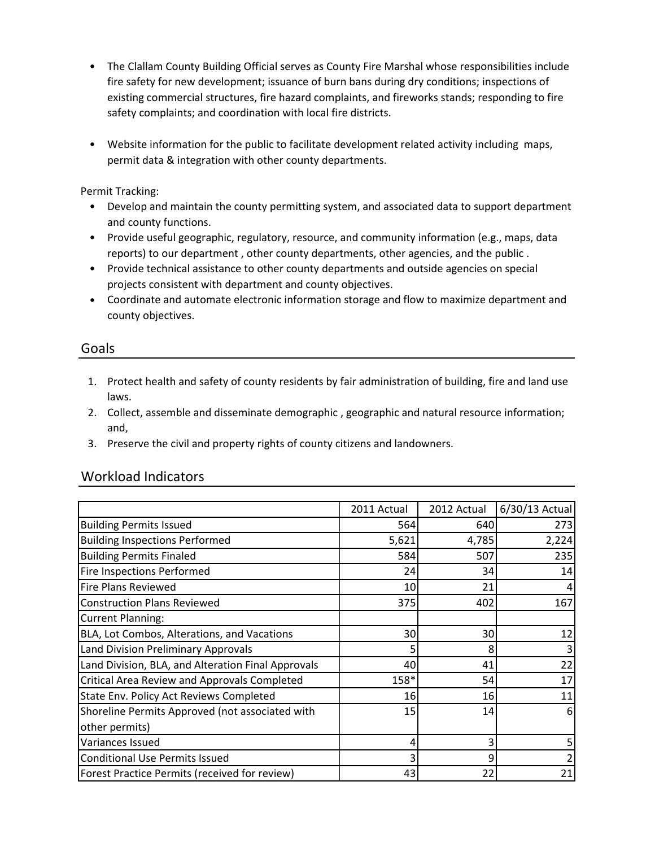- The Clallam County Building Official serves as County Fire Marshal whose responsibilities include fire safety for new development; issuance of burn bans during dry conditions; inspections of existing commercial structures, fire hazard complaints, and fireworks stands; responding to fire safety complaints; and coordination with local fire districts.
- Website information for the public to facilitate development related activity including maps, permit data & integration with other county departments.

Permit Tracking:

- Develop and maintain the county permitting system, and associated data to support department and county functions.
- Provide useful geographic, regulatory, resource, and community information (e.g., maps, data reports) to our department , other county departments, other agencies, and the public .
- Provide technical assistance to other county departments and outside agencies on special projects consistent with department and county objectives.
- Coordinate and automate electronic information storage and flow to maximize department and county objectives.

#### Goals

- 1. Protect health and safety of county residents by fair administration of building, fire and land use laws.
- 2. Collect, assemble and disseminate demographic , geographic and natural resource information; and,
- 3. Preserve the civil and property rights of county citizens and landowners.

#### Workload Indicators

|                                                    | 2011 Actual             | 2012 Actual | 6/30/13 Actual |
|----------------------------------------------------|-------------------------|-------------|----------------|
| <b>Building Permits Issued</b>                     | 564                     | 640         | 273            |
| <b>Building Inspections Performed</b>              | 5,621                   | 4,785       | 2,224          |
| <b>Building Permits Finaled</b>                    | 584                     | 507         | 235            |
| <b>Fire Inspections Performed</b>                  | 24                      | 34          | 14             |
| Fire Plans Reviewed                                | 10                      | 21          |                |
| <b>Construction Plans Reviewed</b>                 | 375                     | 402         | 167            |
| Current Planning:                                  |                         |             |                |
| BLA, Lot Combos, Alterations, and Vacations        | 30 <sup>1</sup>         | 30          | 12             |
| Land Division Preliminary Approvals                | 5.                      | 8           |                |
| Land Division, BLA, and Alteration Final Approvals | 40                      | 41          | 22             |
| Critical Area Review and Approvals Completed       | 158*                    | 54          | 17             |
| State Env. Policy Act Reviews Completed            | 16 I                    | 16          | 11             |
| Shoreline Permits Approved (not associated with    | 15 <sub>l</sub>         | 14          | 6              |
| other permits)                                     |                         |             |                |
| Variances Issued                                   | $\vert 4 \vert$         | 3           |                |
| Conditional Use Permits Issued                     | $\overline{\mathbf{3}}$ | 9           |                |
| Forest Practice Permits (received for review)      | 43                      | 22          | 21             |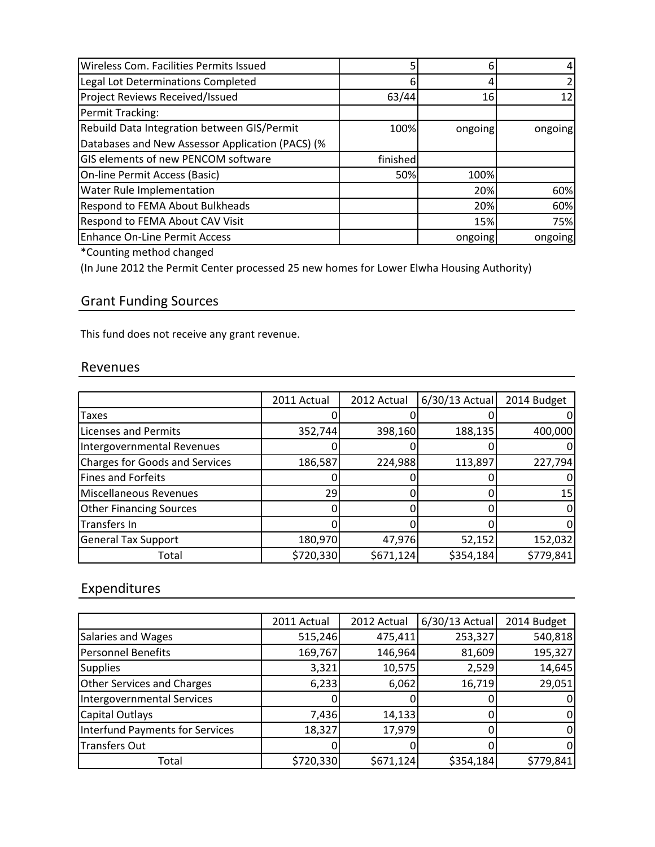| Wireless Com. Facilities Permits Issued          | 5        | 6       |         |
|--------------------------------------------------|----------|---------|---------|
| Legal Lot Determinations Completed               | 6        |         |         |
| <b>Project Reviews Received/Issued</b>           | 63/44    | 16      |         |
| Permit Tracking:                                 |          |         |         |
| Rebuild Data Integration between GIS/Permit      | 100%     | ongoing | ongoing |
| Databases and New Assessor Application (PACS) (% |          |         |         |
| GIS elements of new PENCOM software              | finished |         |         |
| On-line Permit Access (Basic)                    | 50%      | 100%    |         |
| Water Rule Implementation                        |          | 20%     | 60%     |
| Respond to FEMA About Bulkheads                  |          | 20%     | 60%     |
| Respond to FEMA About CAV Visit                  |          | 15%     | 75%     |
| <b>Enhance On-Line Permit Access</b>             |          | ongoing | ongoing |

\*Counting method changed

(In June 2012 the Permit Center processed 25 new homes for Lower Elwha Housing Authority)

# Grant Funding Sources

This fund does not receive any grant revenue.

# Revenues

|                                       | 2011 Actual | 2012 Actual | $6/30/13$ Actual | 2014 Budget |
|---------------------------------------|-------------|-------------|------------------|-------------|
| Taxes                                 |             |             |                  |             |
| <b>Licenses and Permits</b>           | 352,744     | 398,160     | 188,135          | 400,000     |
| Intergovernmental Revenues            |             |             |                  |             |
| <b>Charges for Goods and Services</b> | 186,587     | 224,988     | 113,897          | 227,794     |
| <b>Fines and Forfeits</b>             |             |             |                  |             |
| Miscellaneous Revenues                | 29          |             |                  | 15          |
| <b>Other Financing Sources</b>        |             |             |                  |             |
| Transfers In                          |             |             |                  |             |
| <b>General Tax Support</b>            | 180,970     | 47,976      | 52,152           | 152,032     |
| Total                                 | \$720,330   | \$671,124   | \$354,184        | \$779,841   |

# Expenditures

|                                   | 2011 Actual | 2012 Actual | $6/30/13$ Actual | 2014 Budget |
|-----------------------------------|-------------|-------------|------------------|-------------|
| Salaries and Wages                | 515,246     | 475,411     | 253,327          | 540,818     |
| Personnel Benefits                | 169,767     | 146,964     | 81,609           | 195,327     |
| <b>Supplies</b>                   | 3,321       | 10,575      | 2,529            | 14,645      |
| <b>Other Services and Charges</b> | 6,233       | 6,062       | 16,719           | 29,051      |
| Intergovernmental Services        |             |             |                  |             |
| <b>Capital Outlays</b>            | 7,436       | 14,133      |                  |             |
| Interfund Payments for Services   | 18,327      | 17,979      |                  | 0           |
| <b>Transfers Out</b>              |             |             |                  | 0           |
| Total                             | \$720,330   | \$671,124   | \$354,184        | \$779,841   |